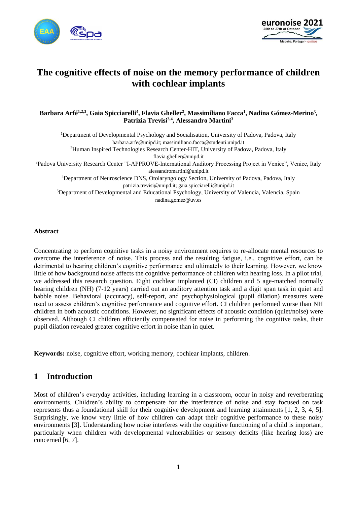



# **The cognitive effects of noise on the memory performance of children with cochlear implants**

#### Barbara Arfé<sup>1,2,3</sup>, Gaia Spicciarelli<sup>4</sup>, Flavia Gheller<sup>2</sup>, Massimiliano Facca<sup>1</sup>, Nadina Gómez-Merino<sup>5</sup>, **Patrizia Trevisi3,4 , Alessandro Martini<sup>3</sup>**

<sup>1</sup>Department of Developmental Psychology and Socialisation, University of Padova, Padova, Italy barbara.arfe@unipd.it; massimiliano.facca@studenti.unipd.it <sup>2</sup>Human Inspired Technologies Research Center-HIT, University of Padova, Padova, Italy flavia.gheller@unipd.it <sup>3</sup>Padova University Research Center "I-APPROVE-International Auditory Processing Project in Venice", Venice, Italy alessandromartini@unipd.it <sup>4</sup>Department of Neuroscience DNS, Otolaryngology Section, University of Padova, Padova, Italy patrizia.trevisi@unipd.it; gaia.spicciarelli@unipd.it <sup>5</sup>Department of Developmental and Educational Psychology, University of Valencia, Valencia, Spain

nadina.gomez@uv.es

#### **Abstract**

Concentrating to perform cognitive tasks in a noisy environment requires to re-allocate mental resources to overcome the interference of noise. This process and the resulting fatigue, i.e., cognitive effort, can be detrimental to hearing children's cognitive performance and ultimately to their learning. However, we know little of how background noise affects the cognitive performance of children with hearing loss. In a pilot trial, we addressed this research question. Eight cochlear implanted (CI) children and 5 age-matched normally hearing children (NH) (7-12 years) carried out an auditory attention task and a digit span task in quiet and babble noise. Behavioral (accuracy), self-report, and psychophysiological (pupil dilation) measures were used to assess children's cognitive performance and cognitive effort. CI children performed worse than NH children in both acoustic conditions. However, no significant effects of acoustic condition (quiet/noise) were observed. Although CI children efficiently compensated for noise in performing the cognitive tasks, their pupil dilation revealed greater cognitive effort in noise than in quiet.

**Keywords:** noise, cognitive effort, working memory, cochlear implants, children.

## **1 Introduction**

Most of children's everyday activities, including learning in a classroom, occur in noisy and reverberating environments. Children's ability to compensate for the interference of noise and stay focused on task represents thus a foundational skill for their cognitive development and learning attainments [1, 2, 3, 4, 5]. Surprisingly, we know very little of how children can adapt their cognitive performance to these noisy environments [3]. Understanding how noise interferes with the cognitive functioning of a child is important, particularly when children with developmental vulnerabilities or sensory deficits (like hearing loss) are concerned [6, 7].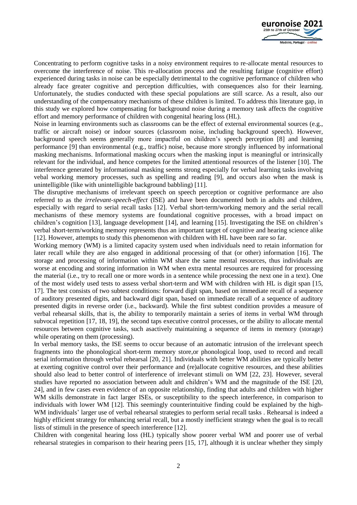

Concentrating to perform cognitive tasks in a noisy environment requires to re-allocate mental resources to overcome the interference of noise. This re-allocation process and the resulting fatigue (cognitive effort) experienced during tasks in noise can be especially detrimental to the cognitive performance of children who already face greater cognitive and perception difficulties, with consequences also for their learning. Unfortunately, the studies conducted with these special populations are still scarce. As a result, also our understanding of the compensatory mechanisms of these children is limited. To address this literature gap, in this study we explored how compensating for background noise during a memory task affects the cognitive effort and memory performance of children with congenital hearing loss (HL).

Noise in learning environments such as classrooms can be the effect of external environmental sources (e.g., traffic or aircraft noise) or indoor sources (classroom noise, including background speech). However, background speech seems generally more impactful on children's speech perception [8] and learning performance [9] than environmental (e.g., traffic) noise, because more strongly influenced by informational masking mechanisms. Informational masking occurs when the masking input is meaningful or intrinsically relevant for the individual, and hence competes for the limited attentional resources of the listener [10]. The interference generated by informational masking seems strong especially for verbal learning tasks involving vebal working memory processes, such as spelling and reading [9], and occurs also when the mask is unintelligible (like with unintelligible background babbling) [11].

The disruptive mechanisms of irrelevant speech on speech perception or cognitive performance are also referred to as the *irrelevant-speech-effect* (ISE) and have been documented both in adults and children, especially with regard to serial recall tasks [12]. Verbal short-term/working memory and the serial recall mechanisms of these memory systems are foundational cognitive processes, with a broad impact on children's cognition [13], language development [14], and learning [15]. Investigating the ISE on children's verbal short-term/working memory represents thus an important target of cognitive and hearing science alike [12]. However, attempts to study this phenomenon with children with HL have been rare so far.

Working memory (WM) is a limited capacity system used when individuals need to retain information for later recall while they are also engaged in additional processing of that (or other) information [16]. The storage and processing of information within WM share the same mental resources, thus individuals are worse at encoding and storing information in WM when extra mental resources are required for processing the material (i.e., try to recall one or more words in a sentence while processing the next one in a text). One of the most widely used tests to assess verbal short-term and WM with children with HL is digit span [15, 17]. The test consists of two subtest conditions: forward digit span, based on immediate recall of a sequence of auditory presented digits, and backward digit span, based on immediate recall of a sequence of auditory presented digits in reverse order (i.e., backward). While the first subtest condition provides a measure of verbal rehearsal skills, that is, the ability to temporarily maintain a series of items in verbal WM through subvocal repetition [17, 18, 19], the second taps executive control processes, or the ability to allocate mental resources between cognitive tasks, such asactively maintaining a sequence of items in memory (storage) while operating on them (processing).

In verbal memory tasks, the ISE seems to occur because of an automatic intrusion of the irrelevant speech fragments into the phonological short-term memory store,or phonological loop, used to record and recall serial information through verbal rehearsal [20, 21]. Individuals with better WM abilities are typically better at exerting cognitive control over their performance and (re)allocate cognitive resources, and these abilities should also lead to better control of interference of irrelevant stimuli on WM [22, 23]. However, several studies have reported no association between adult and children's WM and the magnitude of the ISE [20, 24], and in few cases even evidence of an opposite relationship, finding that adults and children with higher WM skills demonstrate in fact larger ISEs, or susceptibility to the speech interference, in comparison to individuals with lower WM [12]. This seemingly counterintuitive finding could be explained by the high-WM individuals' larger use of verbal rehearsal strategies to perform serial recall tasks. Rehearsal is indeed a highly efficient strategy for enhancing serial recall, but a mostly inefficient strategy when the goal is to recall lists of stimuli in the presence of speech interference [12].

Children with congenital hearing loss (HL) typically show poorer verbal WM and poorer use of verbal rehearsal strategies in comparison to their hearing peers [15, 17], although it is unclear whether they simply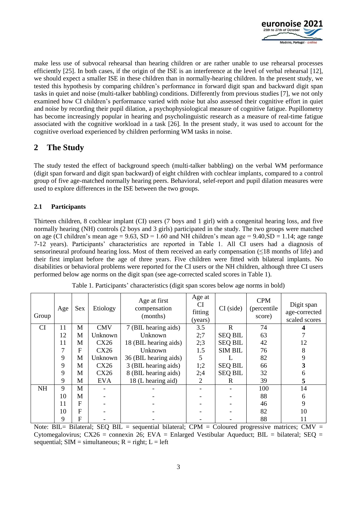

make less use of subvocal rehearsal than hearing children or are rather unable to use rehearsal processes efficiently [25]. In both cases, if the origin of the ISE is an interference at the level of verbal rehearsal [12], we should expect a smaller ISE in these children than in normally-hearing children. In the present study, we tested this hypothesis by comparing children's performance in forward digit span and backward digit span tasks in quiet and noise (multi-talker babbling) conditions. Differently from previous studies [7], we not only examined how CI children's performance varied with noise but also assessed their cognitive effort in quiet and noise by recording their pupil dilation, a psychophysiological measure of cognitive fatigue. Pupillometry has become increasingly popular in hearing and psycholinguistic research as a measure of real-time fatigue associated with the cognitive workload in a task [26]. In the present study, it was used to account for the cognitive overload experienced by children performing WM tasks in noise.

## **2 The Study**

The study tested the effect of background speech (multi-talker babbling) on the verbal WM performance (digit span forward and digit span backward) of eight children with cochlear implants, compared to a control group of five age-matched normally hearing peers. Behavioral, selef-report and pupil dilation measures were used to explore differences in the ISE between the two groups.

#### **2.1 Participants**

Thirteen children, 8 cochlear implant (CI) users (7 boys and 1 girl) with a congenital hearing loss, and five normally hearing (NH) controls (2 boys and 3 girls) participated in the study. The two groups were matched on age (CI children's mean age =  $9.63$ , SD = 1.60 and NH children's mean age =  $9.40$ , SD = 1.14; age range 7-12 years). Participants' characteristics are reported in Table 1. All CI users had a diagnosis of sensorineural profound hearing loss. Most of them received an early compensation  $(\leq 18 \text{ months of life})$  and their first implant before the age of three years. Five children were fitted with bilateral implants. No disabilities or behavioral problems were reported for the CI users or the NH children, although three CI users performed below age norms on the digit span (see age-corrected scaled scores in Table 1).

| Group     | Age | Sex | Etiology   | Age at first<br>compensation<br>(months) | Age at<br><b>CI</b><br>fitting<br>(years) | $CI$ (side)    | <b>CPM</b><br>(percentile<br>score) | Digit span<br>age-corrected<br>scaled scores |
|-----------|-----|-----|------------|------------------------------------------|-------------------------------------------|----------------|-------------------------------------|----------------------------------------------|
| <b>CI</b> | 11  | M   | <b>CMV</b> | 7 (BIL hearing aids)                     | 3.5                                       | $\mathbf R$    | 74                                  |                                              |
|           | 12  | M   | Unknown    | Unknown                                  | 2:7                                       | <b>SEQ BIL</b> | 63                                  |                                              |
|           | 11  | M   | CX26       | 18 (BIL hearing aids)                    | 2:3                                       | <b>SEQ BIL</b> | 42                                  | 12                                           |
|           | 7   | F   | CX26       | Unknown                                  | 1.5                                       | <b>SIM BIL</b> | 76                                  | 8                                            |
|           | 9   | M   | Unknown    | 36 (BIL hearing aids)                    | 5                                         |                | 82                                  | 9                                            |
|           | 9   | M   | CX26       | 3 (BIL hearing aids)                     | 1;2                                       | <b>SEQ BIL</b> | 66                                  |                                              |
|           | 9   | M   | CX26       | 8 (BIL hearing aids)                     | 2;4                                       | <b>SEQ BIL</b> | 32                                  |                                              |
|           | 9   | M   | <b>EVA</b> | 18 (L hearing aid)                       | 2                                         | R              | 39                                  | 5                                            |
| <b>NH</b> | 9   | M   |            |                                          |                                           |                | 100                                 | 14                                           |
|           | 10  | M   |            |                                          |                                           |                | 88                                  | 6                                            |
|           | 11  | F   |            |                                          |                                           |                | 46                                  | 9                                            |
|           | 10  | F   |            |                                          |                                           |                | 82                                  | 10                                           |
|           | 9   | F   |            |                                          |                                           |                | 88                                  |                                              |

Table 1. Participants' characteristics (digit span scores below age norms in bold)

Note: BIL= Bilateral; SEQ BIL = sequential bilateral; CPM = Coloured progressive matrices; CMV = Cytomegalovirus; CX26 = connexin 26; EVA = Enlarged Vestibular Aqueduct; BIL = bilateral; SEQ = sequential;  $SIM = simultaneous$ ;  $R = right$ ;  $L = left$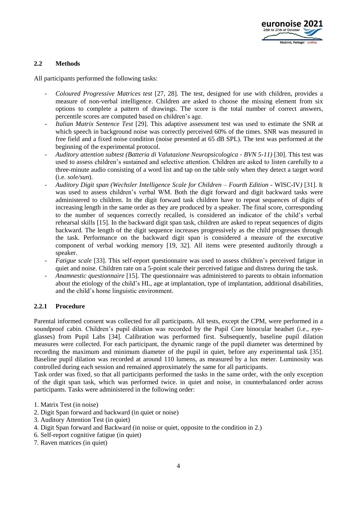

#### **2.2 Methods**

All participants performed the following tasks:

- *Coloured Progressive Matrices test* [27, 28]. The test, designed for use with children, provides a measure of non-verbal intelligence. Children are asked to choose the missing element from six options to complete a pattern of drawings. The score is the total number of correct answers, percentile scores are computed based on children's age.
- *Italian Matrix Sentence Test* [29]. This adaptive assessment test was used to estimate the SNR at which speech in background noise was correctly perceived 60% of the times. SNR was measured in free field and a fixed noise condition (noise presented at 65 dB SPL). The test was performed at the beginning of the experimental protocol.
- *Auditory attention subtest (Batteria di Valutazione Neuropsicologica - BVN 5-11)* [30]. This test was used to assess children's sustained and selective attention. Children are asked to listen carefully to a three-minute audio consisting of a word list and tap on the table only when they detect a target word (i.e. *sole/sun*).
- *Auditory Digit span (Wechsler Intelligence Scale for Children – Fourth Edition -* WISC-IV*)* [31]. It was used to assess children's verbal WM. Both the digit forward and digit backward tasks were administered to children. In the digit forward task children have to repeat sequences of digits of increasing length in the same order as they are produced by a speaker. The final score, corresponding to the number of sequences correctly recalled, is considered an indicator of the child's verbal rehearsal skills [15]. In the backward digit span task, children are asked to repeat sequences of digits backward. The length of the digit sequence increases progressively as the child progresses through the task. Performance on the backward digit span is considered a measure of the executive component of verbal working memory [19, 32]. All items were presented auditorily through a speaker.
- *Fatigue scale* [33]. This self-report questionnaire was used to assess children's perceived fatigue in quiet and noise. Children rate on a 5-point scale their perceived fatigue and distress during the task.
- *Anamnestic questionnaire* [15]. The questionnaire was administered to parents to obtain information about the etiology of the child's HL, age at implantation, type of implantation, additional disabilities, and the child's home linguistic environment.

#### **2.2.1 Procedure**

Parental informed consent was collected for all participants. All tests, except the CPM, were performed in a soundproof cabin. Children's pupil dilation was recorded by the Pupil Core binocular headset (i.e., eyeglasses) from Pupil Labs [34]. Calibration was performed first. Subsequently, baseline pupil dilation measures were collected. For each participant, the dynamic range of the pupil diameter was determined by recording the maximum and minimum diameter of the pupil in quiet, before any experimental task [35]. Baseline pupil dilation was recorded at around 110 lumens, as measured by a lux meter. Luminosity was controlled during each session and remained approximately the same for all participants.

Task order was fixed, so that all participants performed the tasks in the same order, with the only exception of the digit span task, which was performed twice. in quiet and noise, in counterbalanced order across participants. Tasks were administered in the following order:

- 2. Digit Span forward and backward (in quiet or noise)
- 3. Auditory Attention Test (in quiet)
- 4. Digit Span forward and Backward (in noise or quiet, opposite to the condition in 2.)
- 6. Self-report cognitive fatigue (in quiet)
- 7. Raven matrices (in quiet)

<sup>1.</sup> Matrix Test (in noise)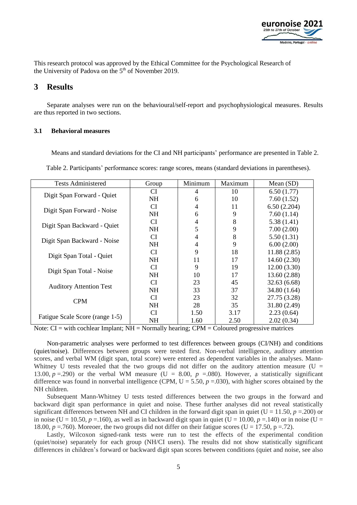

This research protocol was approved by the Ethical Committee for the Psychological Research of the University of Padova on the  $5<sup>th</sup>$  of November 2019.

#### **3 Results**

Separate analyses were run on the behavioural/self-report and psychophysiological measures. Results are thus reported in two sections.

#### **3.1 Behavioral measures**

Means and standard deviations for the CI and NH participants' performance are presented in Table 2.

Table 2. Participants' performance scores: range scores, means (standard deviations in parentheses).

| <b>Tests Administered</b>       | Group     | Minimum | Maximum | Mean $(SD)$  |
|---------------------------------|-----------|---------|---------|--------------|
|                                 | CI        | 4       | 10      | 6.50(1.77)   |
| Digit Span Forward - Quiet      | <b>NH</b> | 6       | 10      | 7.60(1.52)   |
|                                 | CI        | 4       | 11      | 6.50(2.204)  |
| Digit Span Forward - Noise      | <b>NH</b> | 6       | 9       | 7.60(1.14)   |
|                                 | <b>CI</b> | 4       | 8       | 5.38(1.41)   |
| Digit Span Backward - Quiet     | <b>NH</b> | 5       | 9       | 7.00(2.00)   |
|                                 | <b>CI</b> | 4       | 8       | 5.50(1.31)   |
| Digit Span Backward - Noise     | <b>NH</b> | 4       | 9       | 6.00(2.00)   |
| Digit Span Total - Quiet        | CI        | 9       | 18      | 11.88(2.85)  |
|                                 | <b>NH</b> | 11      | 17      | 14.60(2.30)  |
| Digit Span Total - Noise        | CI        | 9       | 19      | 12.00(3.30)  |
|                                 | <b>NH</b> | 10      | 17      | 13.60(2.88)  |
| <b>Auditory Attention Test</b>  | <b>CI</b> | 23      | 45      | 32.63(6.68)  |
|                                 | <b>NH</b> | 33      | 37      | 34.80 (1.64) |
| <b>CPM</b>                      | <b>CI</b> | 23      | 32      | 27.75 (3.28) |
|                                 | <b>NH</b> | 28      | 35      | 31.80 (2.49) |
| Fatigue Scale Score (range 1-5) | <b>CI</b> | 1.50    | 3.17    | 2.23(0.64)   |
|                                 | <b>NH</b> | 1.60    | 2.50    | 2.02(0.34)   |

Note:  $CI = with cochlear Implant$ ;  $NH = Normally hearing$ ;  $CPM = Coloured progressive matrices$ 

Non-parametric analyses were performed to test differences between groups (CI/NH) and conditions (quiet/noise). Differences between groups were tested first. Non-verbal intelligence, auditory attention scores, and verbal WM (digit span, total score) were entered as dependent variables in the analyses. Mann-Whitney U tests revealed that the two groups did not differ on the auditory attention measure ( $U =$ 13.00,  $p = .290$ ) or the verbal WM measure (U = 8.00,  $p = .080$ ). However, a statistically significant difference was found in nonverbal intelligence (CPM,  $U = 5.50$ ,  $p = .030$ ), with higher scores obtained by the NH children.

Subsequent Mann-Whitney U tests tested differences between the two groups in the forward and backward digit span performance in quiet and noise. These further analyses did not reveal statistically significant differences between NH and CI children in the forward digit span in quiet ( $U = 11.50$ ,  $p = .200$ ) or in noise (U = 10.50,  $p = 160$ ), as well as in backward digit span in quiet (U = 10.00,  $p = 140$ ) or in noise (U = 18.00,  $p = .760$ ). Moreoer, the two groups did not differ on their fatigue scores (U = 17.50, p = .72).

Lastly, Wilcoxon signed-rank tests were run to test the effects of the experimental condition (quiet/noise) separately for each group (NH/CI users). The results did not show statistically significant differences in children's forward or backward digit span scores between conditions (quiet and noise, see also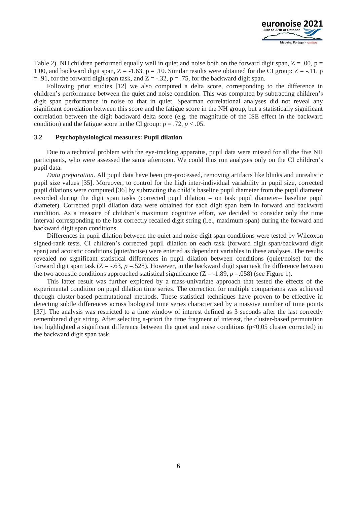

Table 2). NH children performed equally well in quiet and noise both on the forward digit span,  $Z = .00$ ,  $p =$ 1.00, and backward digit span,  $Z = -1.63$ ,  $p = .10$ . Similar results were obtained for the CI group:  $Z = -.11$ , p  $= .91$ , for the forward digit span task, and  $Z = -.32$ ,  $p = .75$ , for the backward digit span.

Following prior studies [12] we also computed a delta score, corresponding to the difference in children's performance between the quiet and noise condition. This was computed by subtracting children's digit span performance in noise to that in quiet. Spearman correlational analyses did not reveal any significant correlation between this score and the fatigue score in the NH group, but a statistically significant correlation between the digit backward delta score (e.g. the magnitude of the ISE effect in the backward condition) and the fatigue score in the CI group:  $\rho = .72$ ,  $p < .05$ .

#### **3.2 Psychophysiological measures: Pupil dilation**

Due to a technical problem with the eye-tracking apparatus, pupil data were missed for all the five NH participants, who were assessed the same afternoon. We could thus run analyses only on the CI children's pupil data.

*Data preparation*. All pupil data have been pre-processed, removing artifacts like blinks and unrealistic pupil size values [35]. Moreover, to control for the high inter-individual variability in pupil size, corrected pupil dilations were computed [36] by subtracting the child's baseline pupil diameter from the pupil diameter recorded during the digit span tasks (corrected pupil dilation = on task pupil diameter– baseline pupil diameter). Corrected pupil dilation data were obtained for each digit span item in forward and backward condition. As a measure of children's maximum cognitive effort, we decided to consider only the time interval corresponding to the last correctly recalled digit string (i.e., maximum span) during the forward and backward digit span conditions.

Differences in pupil dilation between the quiet and noise digit span conditions were tested by Wilcoxon signed-rank tests. CI children's corrected pupil dilation on each task (forward digit span/backward digit span) and acoustic conditions (quiet/noise) were entered as dependent variables in these analyses. The results revealed no significant statistical differences in pupil dilation between conditions (quiet/noise) for the forward digit span task  $(Z = -.63, p = .528)$ . However, in the backward digit span task the difference between the two acoustic conditions approached statistical significance  $(Z = -1.89, p = 0.058)$  (see Figure 1).

This latter result was further explored by a mass-univariate approach that tested the effects of the experimental condition on pupil dilation time series. The correction for multiple comparisons was achieved through cluster-based permutational methods. These statistical techniques have proven to be effective in detecting subtle differences across biological time series characterized by a massive number of time points [37]. The analysis was restricted to a time window of interest defined as 3 seconds after the last correctly remembered digit string. After selecting a-priori the time fragment of interest, the cluster-based permutation test highlighted a significant difference between the quiet and noise conditions (p<0.05 cluster corrected) in the backward digit span task.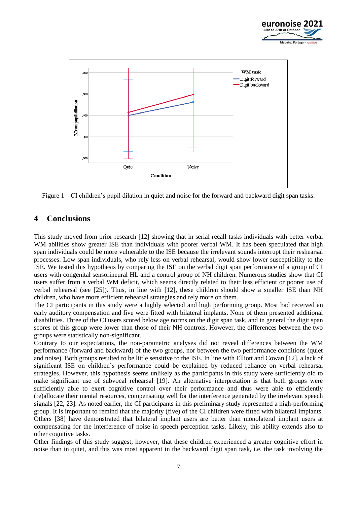



Figure 1 – CI children's pupil dilation in quiet and noise for the forward and backward digit span tasks.

## **4 Conclusions**

This study moved from prior research [12] showing that in serial recall tasks individuals with better verbal WM abilities show greater ISE than individuals with poorer verbal WM. It has been speculated that high span individuals could be more vulnerable to the ISE because the irrelevant sounds interrupt their reshearsal processes. Low span individuals, who rely less on verbal rehearsal, would show lower susceptibility to the ISE. We tested this hypothesis by comparing the ISE on the verbal digit span performance of a group of CI users with congenital sensorineural HL and a control group of NH children. Numerous studies show that CI users suffer from a verbal WM deficit, which seems directly related to their less efficient or poorer use of verbal rehearsal (see [25]). Thus, in line with [12], these children should show a smaller ISE than NH children, who have more efficient rehearsal strategies and rely more on them.

The CI participants in this study were a highly selected and high performing group. Most had received an early auditory compensation and five were fitted with bilateral implants. None of them presented additional disabilities. Three of the CI users scored below age norms on the digit span task, and in general the digit span scores of this group were lower than those of their NH controls. However, the differences between the two groups were statistically non-significant.

Contrary to our expectations, the non-parametric analyses did not reveal differences between the WM performance (forward and backward) of the two groups, nor between the two performance conditions (quiet and noise). Both groups resulted to be little sensitive to the ISE. In line with Elliott and Cowan [12], a lack of significant ISE on children's performance could be explained by reduced reliance on verbal rehearsal strategies. However, this hypothesis seems unlikely as the participants in this study were sufficiently old to make significant use of subvocal rehearsal [19]. An alternative interpretation is that both groups were sufficiently able to exert cognitive control over their performance and thus were able to efficiently (re)allocate their mental resources, compensating well for the interference generated by the irrelevant speech signals [22, 23]. As noted earlier, the CI participants in this preliminary study represented a high-performing group. It is important to remind that the majority (five) of the CI children were fitted with bilateral implants. Others [38] have demonstrated that bilateral implant users are better than monolateral implant users at compensating for the interference of noise in speech perception tasks. Likely, this ability extends also to other cognitive tasks.

Other findings of this study suggest, however, that these children experienced a greater cognitive effort in noise than in quiet, and this was most apparent in the backward digit span task, i.e. the task involving the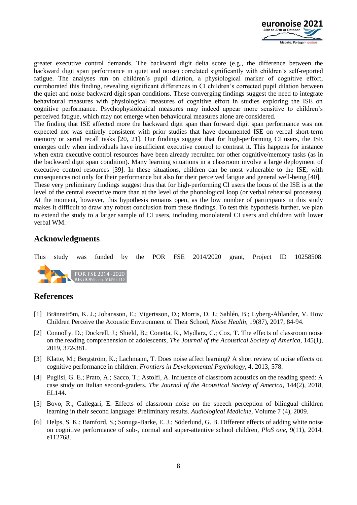

greater executive control demands. The backward digit delta score (e.g., the difference between the backward digit span performance in quiet and noise) correlated significantly with children's self-reported fatigue. The analyses run on children's pupil dilation, a physiological marker of cognitive effort, corroborated this finding, revealing significant differences in CI children's corrected pupil dilation between the quiet and noise backward digit span conditions. These converging findings suggest the need to integrate behavioural measures with physiological measures of cognitive effort in studies exploring the ISE on cognitive performance. Psychophysiological measures may indeed appear more sensitive to children's perceived fatigue, which may not emerge when behavioural measures alone are considered.

The finding that ISE affected more the backward digit span than forward digit span performance was not expected nor was entirely consistent with prior studies that have documented ISE on verbal short-term memory or serial recall tasks [20, 21]. Our findings suggest that for high-performing CI users, the ISE emerges only when individuals have insufficient executive control to contrast it. This happens for instance when extra executive control resources have been already recruited for other cognitive/memory tasks (as in the backward digit span condition). Many learning situations in a classroom involve a large deployment of executive control resources [39]. In these situations, children can be most vulnerable to the ISE, with consequences not only for their performance but also for their perceived fatigue and general well-being [40]. These very preliminary findings suggest thus that for high-performing CI users the locus of the ISE is at the level of the central executive more than at the level of the phonological loop (or verbal rehearsal processes). At the moment, however, this hypothesis remains open, as the low number of participants in this study makes it difficult to draw any robust conclusion from these findings. To test this hypothesis further, we plan to extend the study to a larger sample of CI users, including monolateral CI users and children with lower verbal WM.

## **Acknowledgments**



## **References**

- [1] Brännström, K. J.; Johansson, E.; Vigertsson, D.; Morris, D. J.; Sahlén, B.; Lyberg-Åhlander, V. How Children Perceive the Acoustic Environment of Their School, *Noise Health,* 19(87), 2017, 84-94.
- [2] Connolly, D.; Dockrell, J.; Shield, B.; Conetta, R., Mydlarz, C.; Cox, T. The effects of classroom noise on the reading comprehension of adolescents, *The Journal of the Acoustical Society of America*, 145(1), 2019, 372-381.
- [3] Klatte, M.; Bergström, K.; Lachmann, T. Does noise affect learning? A short review of noise effects on cognitive performance in children. *Frontiers in Developmental Psychology*, 4, 2013, 578.
- [4] Puglisi, G. E.; Prato, A.; Sacco, T.; Astolfi, A. Influence of classroom acoustics on the reading speed: A case study on Italian second-graders. *The Journal of the Acoustical Society of America*, 144(2), 2018, EL144.
- [5] Bovo, R.; Callegari, E. Effects of classroom noise on the speech perception of bilingual children learning in their second language: Preliminary results. *Audiological Medicine*, Volume 7 (4), 2009.
- [6] Helps, S. K.; Bamford, S.; Sonuga-Barke, E. J.; Söderlund, G. B. Different effects of adding white noise on cognitive performance of sub-, normal and super-attentive school children, *PloS one*, 9(11), 2014, e112768.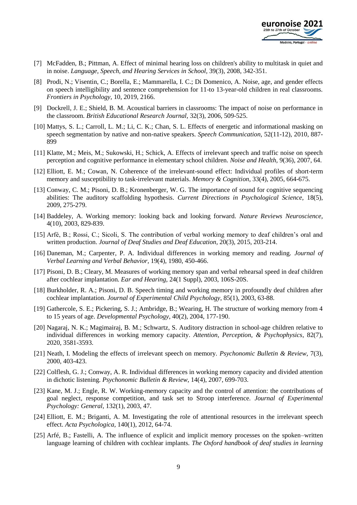

- [7] McFadden, B.; Pittman, A. Effect of minimal hearing loss on children's ability to multitask in quiet and in noise. *Language, Speech, and Hearing Services in School,* 39(3), 2008, 342-351.
- [8] Prodi, N.; Visentin, C.; Borella, E.; Mammarella, I. C.; Di Domenico, A. Noise, age, and gender effects on speech intelligibility and sentence comprehension for 11-to 13-year-old children in real classrooms. *Frontiers in Psychology,* 10, 2019, 2166.
- [9] Dockrell, J. E.; Shield, B. M. Acoustical barriers in classrooms: The impact of noise on performance in the classroom. *British Educational Research Journal,* 32(3), 2006, 509-525.
- [10] Mattys, S. L.; Carroll, L. M.; Li, C. K.; Chan, S. L. Effects of energetic and informational masking on speech segmentation by native and non-native speakers. *Speech Communication,* 52(11-12), 2010, 887- 899
- [11] Klatte, M.; Meis, M.; Sukowski, H.; Schick, A. Effects of irrelevant speech and traffic noise on speech perception and cognitive performance in elementary school children. *Noise and Health,* 9(36), 2007, 64.
- [12] Elliott, E. M.; Cowan, N. Coherence of the irrelevant-sound effect: Individual profiles of short-term memory and susceptibility to task-irrelevant materials. *Memory & Cognition*, 33(4), 2005, 664-675.
- [13] Conway, C. M.; Pisoni, D. B.; Kronenberger, W. G. The importance of sound for cognitive sequencing abilities: The auditory scaffolding hypothesis. *Current Directions in Psychological Science,* 18(5), 2009, 275-279.
- [14] Baddeley, A. Working memory: looking back and looking forward*. Nature Reviews Neuroscience,* 4(10), 2003, 829-839.
- [15] Arfé, B.; Rossi, C.; Sicoli, S. The contribution of verbal working memory to deaf children's oral and written production. *Journal of Deaf Studies and Deaf Education,* 20(3), 2015, 203-214.
- [16] Daneman, M.; Carpenter, P. A. Individual differences in working memory and reading. *Journal of Verbal Learning and Verbal Behavior,* 19(4), 1980, 450-466.
- [17] Pisoni, D. B.; Cleary, M. Measures of working memory span and verbal rehearsal speed in deaf children after cochlear implantation. *Ear and Hearing,* 24(1 Suppl), 2003, 106S-20S.
- [18] Burkholder, R. A.; Pisoni, D. B. Speech timing and working memory in profoundly deaf children after cochlear implantation. *Journal of Experimental Child Psychology*, 85(1), 2003, 63-88.
- [19] Gathercole, S. E.; Pickering, S. J.; Ambridge, B.; Wearing, H. The structure of working memory from 4 to 15 years of age. *Developmental Psychology*, 40(2), 2004, 177-190.
- [20] Nagaraj, N. K.; Magimairaj, B. M.; Schwartz, S. Auditory distraction in school-age children relative to individual differences in working memory capacity. *Attention, Perception, & Psychophysics*, 82(7), 2020, 3581-3593.
- [21] Neath, I. Modeling the effects of irrelevant speech on memory. *Psychonomic Bulletin & Review*, 7(3), 2000, 403-423.
- [22] Colflesh, G. J.; Conway, A. R. Individual differences in working memory capacity and divided attention in dichotic listening. *Psychonomic Bulletin & Review*, 14(4), 2007, 699-703.
- [23] Kane, M. J.; Engle, R. W. Working-memory capacity and the control of attention: the contributions of goal neglect, response competition, and task set to Stroop interference. *Journal of Experimental Psychology: General,* 132(1), 2003, 47.
- [24] Elliott, E. M.; Briganti, A. M. Investigating the role of attentional resources in the irrelevant speech effect. *Acta Psychologica,* 140(1), 2012, 64-74.
- [25] Arfé, B.; Fastelli, A. The influence of explicit and implicit memory processes on the spoken–written language learning of children with cochlear implants. *The Oxford handbook of deaf studies in learning*